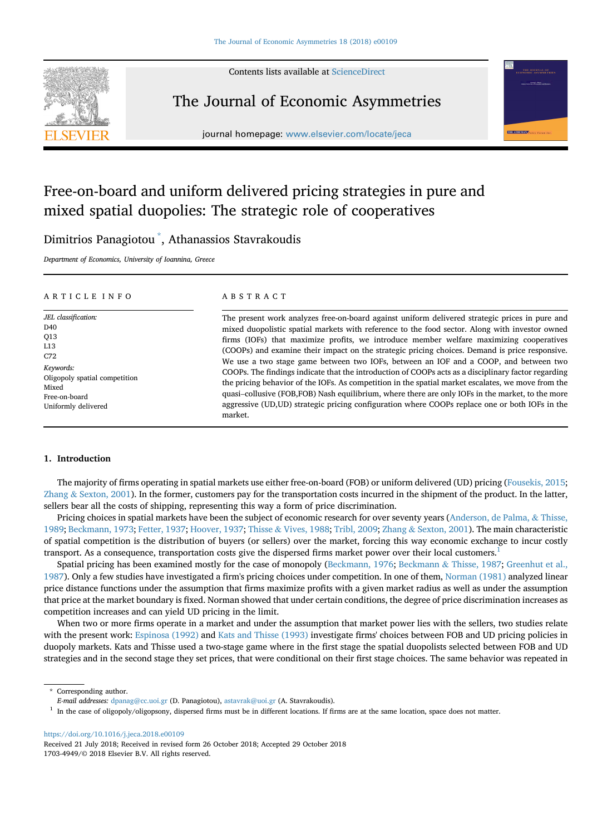

# The Journal of Economic Asymmetries

journal homepage: [www.elsevier.com/locate/jeca](http://www.elsevier.com/locate/jeca)

# Free-on-board and uniform delivered pricing strategies in pure and mixed spatial duopolies: The strategic role of cooperatives

# Dimitrios Panagiotou \* , Athanassios Stavrakoudis

Department of Economics, University of Ioannina, Greece

## ARTICLE INFO

JEL classification:  $D40$ Q13 L13 C72 Keywords: Oligopoly spatial competition Mixed Free-on-board Uniformly delivered

## ABSTRACT

The present work analyzes free-on-board against uniform delivered strategic prices in pure and mixed duopolistic spatial markets with reference to the food sector. Along with investor owned firms (IOFs) that maximize profits, we introduce member welfare maximizing cooperatives (COOPs) and examine their impact on the strategic pricing choices. Demand is price responsive. We use a two stage game between two IOFs, between an IOF and a COOP, and between two COOPs. The findings indicate that the introduction of COOPs acts as a disciplinary factor regarding the pricing behavior of the IOFs. As competition in the spatial market escalates, we move from the quasi–collusive (FOB,FOB) Nash equilibrium, where there are only IOFs in the market, to the more aggressive (UD,UD) strategic pricing configuration where COOPs replace one or both IOFs in the market.

## 1. Introduction

The majority of firms operating in spatial markets use either free-on-board (FOB) or uniform delivered (UD) pricing ([Fousekis, 2015](#page-15-0); [Zhang](#page-15-0) & [Sexton, 2001\)](#page-15-0). In the former, customers pay for the transportation costs incurred in the shipment of the product. In the latter, sellers bear all the costs of shipping, representing this way a form of price discrimination.

Pricing choices in spatial markets have been the subject of economic research for over seventy years [\(Anderson, de Palma,](#page-15-0) & [Thisse,](#page-15-0) [1989;](#page-15-0) [Beckmann, 1973;](#page-15-0) [Fetter, 1937](#page-15-0); [Hoover, 1937;](#page-15-0) [Thisse](#page-15-0) & [Vives, 1988](#page-15-0); [Tribl, 2009](#page-15-0); [Zhang](#page-15-0) & [Sexton, 2001](#page-15-0)). The main characteristic of spatial competition is the distribution of buyers (or sellers) over the market, forcing this way economic exchange to incur costly transport. As a consequence, transportation costs give the dispersed firms market power over their local customers.1

Spatial pricing has been examined mostly for the case of monopoly ([Beckmann, 1976](#page-15-0); [Beckmann](#page-15-0) & [Thisse, 1987](#page-15-0); [Greenhut et al.,](#page-15-0) [1987\)](#page-15-0). Only a few studies have investigated a firm's pricing choices under competition. In one of them, [Norman \(1981\)](#page-15-0) analyzed linear price distance functions under the assumption that firms maximize profits with a given market radius as well as under the assumption that price at the market boundary is fixed. Norman showed that under certain conditions, the degree of price discrimination increases as competition increases and can yield UD pricing in the limit.

When two or more firms operate in a market and under the assumption that market power lies with the sellers, two studies relate with the present work: [Espinosa \(1992\)](#page-15-0) and [Kats and Thisse \(1993\)](#page-15-0) investigate firms' choices between FOB and UD pricing policies in duopoly markets. Kats and Thisse used a two-stage game where in the first stage the spatial duopolists selected between FOB and UD strategies and in the second stage they set prices, that were conditional on their first stage choices. The same behavior was repeated in

<https://doi.org/10.1016/j.jeca.2018.e00109>

Corresponding author.

E-mail addresses: [dpanag@cc.uoi.gr](mailto:dpanag@cc.uoi.gr) (D. Panagiotou), [astavrak@uoi.gr](mailto:astavrak@uoi.gr) (A. Stavrakoudis).

 $1$  In the case of oligopoly/oligopsony, dispersed firms must be in different locations. If firms are at the same location, space does not matter.

Received 21 July 2018; Received in revised form 26 October 2018; Accepted 29 October 2018 1703-4949/© 2018 Elsevier B.V. All rights reserved.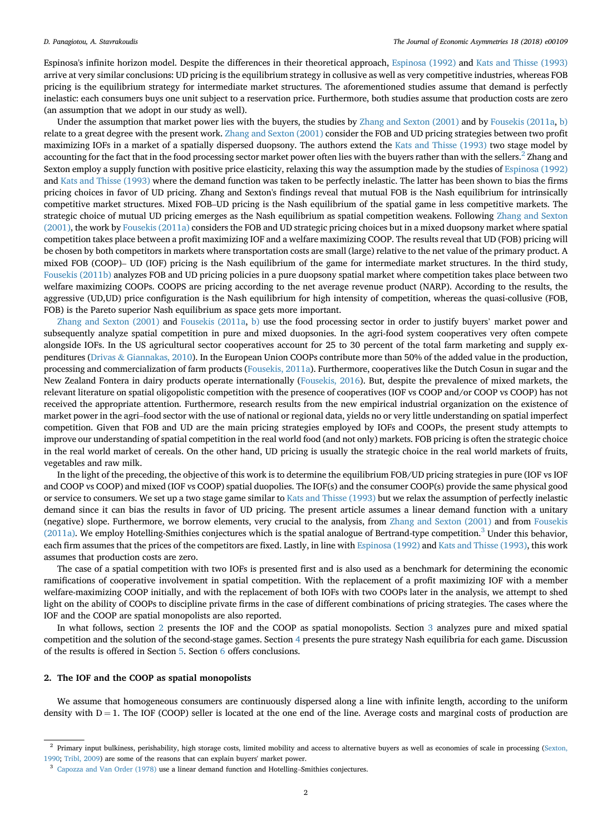<span id="page-1-0"></span>Espinosa's infinite horizon model. Despite the differences in their theoretical approach, [Espinosa \(1992\)](#page-15-0) and [Kats and Thisse \(1993\)](#page-15-0) arrive at very similar conclusions: UD pricing is the equilibrium strategy in collusive as well as very competitive industries, whereas FOB pricing is the equilibrium strategy for intermediate market structures. The aforementioned studies assume that demand is perfectly inelastic: each consumers buys one unit subject to a reservation price. Furthermore, both studies assume that production costs are zero (an assumption that we adopt in our study as well).

Under the assumption that market power lies with the buyers, the studies by [Zhang and Sexton \(2001\)](#page-15-0) and by [Fousekis \(2011a,](#page-15-0) [b\)](#page-15-0) relate to a great degree with the present work. [Zhang and Sexton \(2001\)](#page-15-0) consider the FOB and UD pricing strategies between two profit maximizing IOFs in a market of a spatially dispersed duopsony. The authors extend the [Kats and Thisse \(1993\)](#page-15-0) two stage model by accounting for the fact that in the food processing sector market power often lies with the buyers rather than with the sellers.<sup>2</sup> Zhang and Sexton employ a supply function with positive price elasticity, relaxing this way the assumption made by the studies of [Espinosa \(1992\)](#page-15-0) and [Kats and Thisse \(1993\)](#page-15-0) where the demand function was taken to be perfectly inelastic. The latter has been shown to bias the firms pricing choices in favor of UD pricing. Zhang and Sexton's findings reveal that mutual FOB is the Nash equilibrium for intrinsically competitive market structures. Mixed FOB–UD pricing is the Nash equilibrium of the spatial game in less competitive markets. The strategic choice of mutual UD pricing emerges as the Nash equilibrium as spatial competition weakens. Following [Zhang and Sexton](#page-15-0) [\(2001\),](#page-15-0) the work by [Fousekis \(2011a\)](#page-15-0) considers the FOB and UD strategic pricing choices but in a mixed duopsony market where spatial competition takes place between a profit maximizing IOF and a welfare maximizing COOP. The results reveal that UD (FOB) pricing will be chosen by both competitors in markets where transportation costs are small (large) relative to the net value of the primary product. A mixed FOB (COOP)– UD (IOF) pricing is the Nash equilibrium of the game for intermediate market structures. In the third study, [Fousekis \(2011b\)](#page-15-0) analyzes FOB and UD pricing policies in a pure duopsony spatial market where competition takes place between two welfare maximizing COOPs. COOPS are pricing according to the net average revenue product (NARP). According to the results, the aggressive (UD,UD) price configuration is the Nash equilibrium for high intensity of competition, whereas the quasi-collusive (FOB, FOB) is the Pareto superior Nash equilibrium as space gets more important.

[Zhang and Sexton \(2001\)](#page-15-0) and [Fousekis \(2011a,](#page-15-0) [b\)](#page-15-0) use the food processing sector in order to justify buyers' market power and subsequently analyze spatial competition in pure and mixed duopsonies. In the agri-food system cooperatives very often compete alongside IOFs. In the US agricultural sector cooperatives account for 25 to 30 percent of the total farm marketing and supply expenditures ([Drivas](#page-15-0) & [Giannakas, 2010\)](#page-15-0). In the European Union COOPs contribute more than 50% of the added value in the production, processing and commercialization of farm products [\(Fousekis, 2011a](#page-15-0)). Furthermore, cooperatives like the Dutch Cosun in sugar and the New Zealand Fontera in dairy products operate internationally ([Fousekis, 2016](#page-15-0)). But, despite the prevalence of mixed markets, the relevant literature on spatial oligopolistic competition with the presence of cooperatives (IOF vs COOP and/or COOP vs COOP) has not received the appropriate attention. Furthermore, research results from the new empirical industrial organization on the existence of market power in the agri–food sector with the use of national or regional data, yields no or very little understanding on spatial imperfect competition. Given that FOB and UD are the main pricing strategies employed by IOFs and COOPs, the present study attempts to improve our understanding of spatial competition in the real world food (and not only) markets. FOB pricing is often the strategic choice in the real world market of cereals. On the other hand, UD pricing is usually the strategic choice in the real world markets of fruits, vegetables and raw milk.

In the light of the preceding, the objective of this work is to determine the equilibrium FOB/UD pricing strategies in pure (IOF vs IOF and COOP vs COOP) and mixed (IOF vs COOP) spatial duopolies. The IOF(s) and the consumer COOP(s) provide the same physical good or service to consumers. We set up a two stage game similar to [Kats and Thisse \(1993\)](#page-15-0) but we relax the assumption of perfectly inelastic demand since it can bias the results in favor of UD pricing. The present article assumes a linear demand function with a unitary (negative) slope. Furthermore, we borrow elements, very crucial to the analysis, from [Zhang and Sexton \(2001\)](#page-15-0) and from [Fousekis](#page-15-0) [\(2011a\).](#page-15-0) We employ Hotelling-Smithies conjectures which is the spatial analogue of Bertrand-type competition.<sup>3</sup> Under this behavior, each firm assumes that the prices of the competitors are fixed. Lastly, in line with [Espinosa \(1992\)](#page-15-0) and [Kats and Thisse \(1993\)](#page-15-0), this work assumes that production costs are zero.

The case of a spatial competition with two IOFs is presented first and is also used as a benchmark for determining the economic ramifications of cooperative involvement in spatial competition. With the replacement of a profit maximizing IOF with a member welfare-maximizing COOP initially, and with the replacement of both IOFs with two COOPs later in the analysis, we attempt to shed light on the ability of COOPs to discipline private firms in the case of different combinations of pricing strategies. The cases where the IOF and the COOP are spatial monopolists are also reported.

In what follows, section 2 presents the IOF and the COOP as spatial monopolists. Section [3](#page-3-0) analyzes pure and mixed spatial competition and the solution of the second-stage games. Section [4](#page-11-0) presents the pure strategy Nash equilibria for each game. Discussion of the results is offered in Section [5.](#page-13-0) Section [6](#page-14-0) offers conclusions.

## 2. The IOF and the COOP as spatial monopolists

We assume that homogeneous consumers are continuously dispersed along a line with infinite length, according to the uniform density with  $D = 1$ . The IOF (COOP) seller is located at the one end of the line. Average costs and marginal costs of production are

 $2$  Primary input bulkiness, perishability, high storage costs, limited mobility and access to alternative buyers as well as economies of scale in processing ([Sexton,](#page-15-0) [1990](#page-15-0); [Tribl, 2009\)](#page-15-0) are some of the reasons that can explain buyers' market power.

<sup>3</sup> [Capozza and Van Order \(1978\)](#page-15-0) use a linear demand function and Hotelling–Smithies conjectures.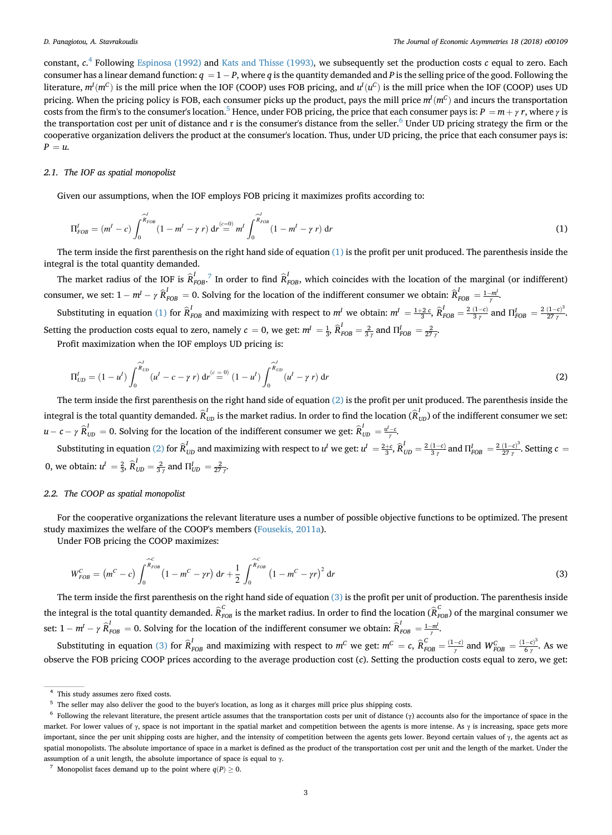<span id="page-2-0"></span>constant,  $c^4$  Following [Espinosa \(1992\)](#page-15-0) and [Kats and Thisse \(1993\),](#page-15-0) we subsequently set the production costs  $c$  equal to zero. Each consumer has a linear demand function:  $q = 1 - P$ , where  $q$  is the quantity demanded and P is the selling price of the good. Following the literature,  $m^I(m^C)$  is the mill price when the IOF (COOP) uses FOB pricing, and  $u^I(u^C)$  is the mill price when the IOF (COOP) uses UD pricing. When the pricing policy is FOB, each consumer picks up the product, pays the mill price  $m^I(m^C)$  and incurs the transportation costs from the firm's to the consumer's location.<sup>5</sup> Hence, under FOB pricing, the price that each consumer pays is:  $P = m + \gamma r$ , where  $\gamma$  is the transportation cost per unit of distance and r is the consumer's distance from the seller.<sup>6</sup> Under UD pricing strategy the firm or the cooperative organization delivers the product at the consumer's location. Thus, under UD pricing, the price that each consumer pays is:  $P = u$ .

## 2.1. The IOF as spatial monopolist

Given our assumptions, when the IOF employs FOB pricing it maximizes profits according to:

$$
\Pi_{FOB}^I = (m^I - c) \int_0^{\widehat{R}_{FOB}^I} (1 - m^I - \gamma r) dr \stackrel{(c=0)}{=} m^I \int_0^{\widehat{R}_{FOB}^I} (1 - m^I - \gamma r) dr \tag{1}
$$

The term inside the first parenthesis on the right hand side of equation (1) is the profit per unit produced. The parenthesis inside the integral is the total quantity demanded.

The market radius of the IOF is  $\hat{R}_{FOB}^I$ .<sup>7</sup> In order to find  $\hat{R}_{FOB}^I$ , which coincides with the location of the marginal (or indifferent) consumer, we set:  $1 - m^l - \gamma \hat{R}_{FOB}^l = 0$ . Solving for the location of the indifferent consumer we obtain:  $\hat{R}_{FOB}^l = \frac{1 - m^l}{\gamma}$ .

Substituting in equation (1) for  $\hat{R}_{FOB}^I$  and maximizing with respect to  $m^I$  we obtain:  $m^I = \frac{1+2}{3}c$ ,  $\hat{R}_{FOB}^I = \frac{2(1-c)}{3\gamma}$  and  $\Pi_{FOB}^I = \frac{2(1-c)^3}{27\gamma}$ . Setting the production costs equal to zero, namely  $c = 0$ , we get:  $m^I = \frac{1}{3}$ ,  $\widehat{R}_{FOB}^I = \frac{2}{3\gamma}$  and  $\Pi_{FOB}^I = \frac{2}{27\gamma}$ .

Profit maximization when the IOF employs UD pricing is:

$$
\Pi_{UD}^l = (1 - u^l) \int_0^{\widehat{R}_{UD}^l} (u^l - c - \gamma r) dr^{(c=0)} (1 - u^l) \int_0^{\widehat{R}_{UD}^l} (u^l - \gamma r) dr
$$
\n(2)

The term inside the first parenthesis on the right hand side of equation (2) is the profit per unit produced. The parenthesis inside the integral is the total quantity demanded.  $\widehat R^I_{UD}$  is the market radius. In order to find the location  $(\widehat R^I_{UD})$  of the indifferent consumer we set:  $u-c-\gamma \hat{R}_{UD}^I=0$ . Solving for the location of the indifferent consumer we get:  $\hat{R}_{UD}^I=\frac{u^I-c}{\gamma}$ .

Substituting in equation (2) for  $\widehat{R}_{UD}^I$  and maximizing with respect to  $u^I$  we get:  $u^I = \frac{2+c}{3}$ ,  $\widehat{R}_{UD}^I = \frac{2(1-c)}{3\gamma}$  and  $\Pi_{FOB}^I = \frac{2(1-c)^3}{27\gamma}$ . Setting  $c =$ 0, we obtain:  $u^I = \frac{2}{3}$ ,  $\hat{R}_{UD}^I = \frac{2}{3\gamma}$  and  $\Pi_{UD}^I = \frac{2}{27\gamma}$ .

## 2.2. The COOP as spatial monopolist

For the cooperative organizations the relevant literature uses a number of possible objective functions to be optimized. The present study maximizes the welfare of the COOP's members [\(Fousekis, 2011a](#page-15-0)).

Under FOB pricing the COOP maximizes:

$$
W_{FOB}^C = (m^C - c) \int_0^{\widehat{K}_{FOB}^c} (1 - m^C - \gamma r) dr + \frac{1}{2} \int_0^{\widehat{K}_{FOB}} (1 - m^C - \gamma r)^2 dr
$$
 (3)

The term inside the first parenthesis on the right hand side of equation (3) is the profit per unit of production. The parenthesis inside the integral is the total quantity demanded.  $\widehat{R}_{FOB}^C$  is the market radius. In order to find the location  $(\widehat{R}_{FOB}^C)$  of the marginal consumer we set:  $1 - m^I - \gamma \hat{R}_{FOB}^I = 0$ . Solving for the location of the indifferent consumer we obtain:  $\hat{R}_{FOB}^I = \frac{1 - m^I}{\gamma}$ .

Substituting in equation (3) for  $\hat{R}_{FOB}^I$  and maximizing with respect to  $m^C$  we get:  $m^C = c$ ,  $\hat{R}_{FOB}^C = \frac{(1-c)}{\gamma}$  and  $W_{FOB}^C = \frac{(1-c)^3}{6 \gamma}$ . As we observe the FOB pricing COOP prices according to the average production cost (c). Setting the production costs equal to zero, we get:

<sup>4</sup> This study assumes zero fixed costs.

<sup>5</sup> The seller may also deliver the good to the buyer's location, as long as it charges mill price plus shipping costs.

<sup>&</sup>lt;sup>6</sup> Following the relevant literature, the present article assumes that the transportation costs per unit of distance  $(\gamma)$  accounts also for the importance of space in the market. For lower values of  $\gamma$ , space is not important in the spatial market and competition between the agents is more intense. As  $\gamma$  is increasing, space gets more important, since the per unit shipping costs are higher, and the intensity of competition between the agents gets lower. Beyond certain values of γ, the agents act as spatial monopolists. The absolute importance of space in a market is defined as the product of the transportation cost per unit and the length of the market. Under the assumption of a unit length, the absolute importance of space is equal to γ.

<sup>&</sup>lt;sup>7</sup> Monopolist faces demand up to the point where  $q(P) \ge 0$ .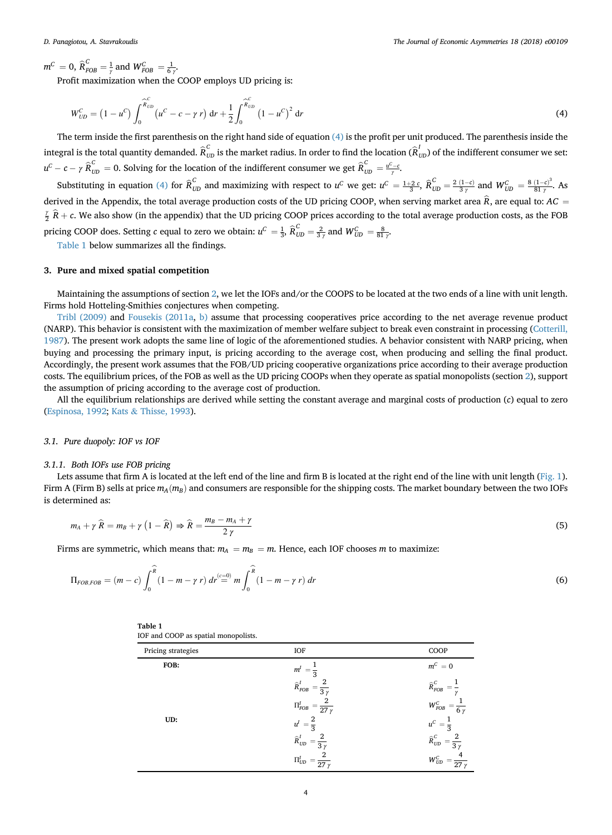<span id="page-3-0"></span> $m^C = 0$ ,  $\widehat{R}_{FOB}^C = \frac{1}{\gamma}$  and  $W_{FOB}^C = \frac{1}{6 \gamma}$ .

Profit maximization when the COOP employs UD pricing is:

$$
W_{UD}^C = (1 - u^C) \int_0^{\widehat{R}_{UD}} (u^C - c - \gamma r) dr + \frac{1}{2} \int_0^{\widehat{R}_{UD}} (1 - u^C)^2 dr
$$
 (4)

The term inside the first parenthesis on the right hand side of equation (4) is the profit per unit produced. The parenthesis inside the integral is the total quantity demanded.  $\widehat{R}_{UD}^C$  is the market radius. In order to find the location  $(\widehat{R}_{UD}^I)$  of the indifferent consumer we set:  $u^C - c - \gamma \widehat{R}_{UD}^C = 0$ . Solving for the location of the indifferent consumer we get  $\widehat{R}_{UD}^C = \frac{u^C - c}{\gamma}$ .

Substituting in equation (4) for  $\hat{R}_{UD}^C$  and maximizing with respect to  $u^C$  we get:  $u^C = \frac{1+2\ c}{3}, \hat{R}_{UD}^C = \frac{2(1-c)}{3\ \gamma}$  and  $W_{UD}^C = \frac{8(1-c)^3}{81\ \gamma}$ . As derived in the Appendix, the total average production costs of the UD pricing COOP, when serving market area  $\hat{R}$ , are equal to: AC =  $\frac{\gamma}{2}$   $\widehat{R}$  + c. We also show (in the appendix) that the UD pricing COOP prices according to the total average production costs, as the FOB pricing COOP does. Setting c equal to zero we obtain:  $u^C = \frac{1}{3}$ ,  $\widehat{R}_{UD}^C = \frac{2}{3\gamma}$  and  $W_{UD}^C = \frac{8}{81\gamma}$ .

Table 1 below summarizes all the findings.

## 3. Pure and mixed spatial competition

Maintaining the assumptions of section [2,](#page-1-0) we let the IOFs and/or the COOPS to be located at the two ends of a line with unit length. Firms hold Hotteling-Smithies conjectures when competing.

[Tribl \(2009\)](#page-15-0) and [Fousekis \(2011a](#page-15-0), [b\)](#page-15-0) assume that processing cooperatives price according to the net average revenue product (NARP). This behavior is consistent with the maximization of member welfare subject to break even constraint in processing ([Cotterill,](#page-15-0) [1987\)](#page-15-0). The present work adopts the same line of logic of the aforementioned studies. A behavior consistent with NARP pricing, when buying and processing the primary input, is pricing according to the average cost, when producing and selling the final product. Accordingly, the present work assumes that the FOB/UD pricing cooperative organizations price according to their average production costs. The equilibrium prices, of the FOB as well as the UD pricing COOPs when they operate as spatial monopolists (section [2\)](#page-1-0), support the assumption of pricing according to the average cost of production.

All the equilibrium relationships are derived while setting the constant average and marginal costs of production (c) equal to zero ([Espinosa, 1992;](#page-15-0) [Kats](#page-15-0) & [Thisse, 1993](#page-15-0)).

## 3.1. Pure duopoly: IOF vs IOF

## 3.1.1. Both IOFs use FOB pricing

Lets assume that firm A is located at the left end of the line and firm B is located at the right end of the line with unit length ([Fig. 1](#page-4-0)). Firm A (Firm B) sells at price  $m_A(m_B)$  and consumers are responsible for the shipping costs. The market boundary between the two IOFs is determined as:

$$
m_A + \gamma \widehat{R} = m_B + \gamma \left( 1 - \widehat{R} \right) \Rightarrow \widehat{R} = \frac{m_B - m_A + \gamma}{2 \gamma} \tag{5}
$$

Firms are symmetric, which means that:  $m_A = m_B = m$ . Hence, each IOF chooses m to maximize:

$$
\Pi_{FOB, FOB} = (m - c) \int_0^{\widehat{R}} (1 - m - \gamma r) dr \stackrel{(c = 0)}{=} m \int_0^{\widehat{R}} (1 - m - \gamma r) dr
$$
\n(6)

| Table 1                              |  |
|--------------------------------------|--|
| IOF and COOP as spatial monopolists. |  |

| Pricing strategies | IOF                                                       | COOP                                                                                            |
|--------------------|-----------------------------------------------------------|-------------------------------------------------------------------------------------------------|
| FOB:               | m <sup>1</sup>                                            | $m^C=0$                                                                                         |
|                    | $\widehat{R}^I_{FOB}\ =$<br>$\overline{3}$ $\overline{v}$ | $\widehat{\boldsymbol{R}}^{\boldsymbol{C}}_{\boldsymbol{F}\boldsymbol{O}\boldsymbol{B}}$<br>$=$ |
|                    | $\Pi_{FOB}^I \, = \, \overline{27\,\gamma}$               | $W_{FOB}^C = \frac{1}{6 \gamma}$                                                                |
| UD:                | ư<br>$\overline{2}$                                       | $u^C$<br>$\overline{3}$                                                                         |
|                    | $\widehat{R}_{U\!D}^I$<br>$3\gamma$                       | $\widehat{\boldsymbol{R}}_{\boldsymbol{U}\boldsymbol{D}}^{\boldsymbol{C}}$<br>$3\gamma$         |
|                    | $\Pi_{UD}^I$<br>27y                                       | $W_{\mathit{UD}}^{\mathit{C}}$<br>27y                                                           |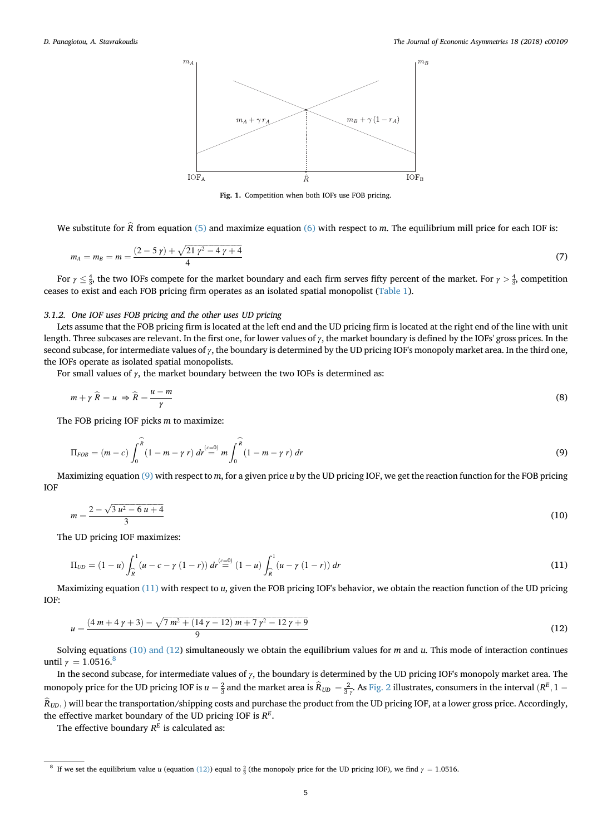<span id="page-4-0"></span>

Fig. 1. Competition when both IOFs use FOB pricing.

We substitute for  $\hat{R}$  from equation [\(5\)](#page-3-0) and maximize equation [\(6\)](#page-3-0) with respect to m. The equilibrium mill price for each IOF is:

$$
m_A = m_B = m = \frac{(2 - 5\gamma) + \sqrt{21\gamma^2 - 4\gamma + 4}}{4} \tag{7}
$$

For  $\gamma \leq \frac{4}{3}$ , the two IOFs compete for the market boundary and each firm serves fifty percent of the market. For  $\gamma > \frac{4}{3}$ , competition ceases to exist and each FOB pricing firm operates as an isolated spatial monopolist [\(Table 1](#page-3-0)).

## 3.1.2. One IOF uses FOB pricing and the other uses UD pricing

Lets assume that the FOB pricing firm is located at the left end and the UD pricing firm is located at the right end of the line with unit length. Three subcases are relevant. In the first one, for lower values of  $\gamma$ , the market boundary is defined by the IOFs' gross prices. In the second subcase, for intermediate values of  $\gamma$ , the boundary is determined by the UD pricing IOF's monopoly market area. In the third one, the IOFs operate as isolated spatial monopolists.

For small values of  $\gamma$ , the market boundary between the two IOFs is determined as:

$$
m + \gamma \widehat{R} = u \Rightarrow \widehat{R} = \frac{u - m}{\gamma} \tag{8}
$$

The FOB pricing IOF picks  $m$  to maximize:

$$
\Pi_{FOB} = (m - c) \int_0^{\widehat{R}} (1 - m - \gamma r) dr \stackrel{(c=0)}{=} m \int_0^{\widehat{R}} (1 - m - \gamma r) dr
$$
\n(9)

Maximizing equation  $(9)$  with respect to m, for a given price u by the UD pricing IOF, we get the reaction function for the FOB pricing IOF

$$
m = \frac{2 - \sqrt{3}u^2 - 6u + 4}{3} \tag{10}
$$

The UD pricing IOF maximizes:

$$
\Pi_{UD} = (1 - u) \int_{\widehat{R}}^{1} (u - c - \gamma (1 - r)) dr \stackrel{(c = 0)}{=} (1 - u) \int_{\widehat{R}}^{1} (u - \gamma (1 - r)) dr \tag{11}
$$

Maximizing equation (11) with respect to u, given the FOB pricing IOF's behavior, we obtain the reaction function of the UD pricing IOF:

$$
u = \frac{(4 m + 4 \gamma + 3) - \sqrt{7 m^2 + (14 \gamma - 12) m + 7 \gamma^2 - 12 \gamma + 9}}{9}
$$
\n(12)

Solving equations (10) and (12) simultaneously we obtain the equilibrium values for  $m$  and  $u$ . This mode of interaction continues until  $\gamma = 1.0516$ .<sup>8</sup>

In the second subcase, for intermediate values of γ, the boundary is determined by the UD pricing IOF's monopoly market area. The monopoly price for the UD pricing IOF is  $u=\frac{2}{3}$  and the market area is  $\hat{R}_{UD}=\frac{2}{3\gamma}$ . As [Fig. 2](#page-5-0) illustrates, consumers in the interval  $(R^E, 1 \widehat{R}_{UD}$ ,) will bear the transportation/shipping costs and purchase the product from the UD pricing IOF, at a lower gross price. Accordingly, the effective market boundary of the UD pricing IOF is  $R<sup>E</sup>$ .

The effective boundary  $R^E$  is calculated as:

<sup>&</sup>lt;sup>8</sup> If we set the equilibrium value u (equation (12)) equal to  $\frac{2}{3}$  (the monopoly price for the UD pricing IOF), we find  $\gamma = 1.0516$ .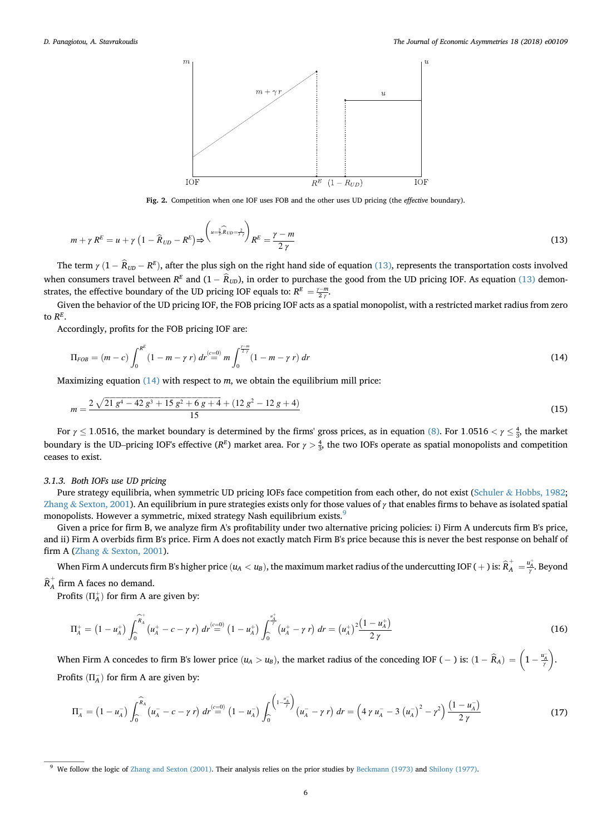<span id="page-5-0"></span>

Fig. 2. Competition when one IOF uses FOB and the other uses UD pricing (the effective boundary).

$$
m + \gamma R^{E} = u + \gamma \left(1 - \widehat{R}_{UD} - R^{E}\right) \Rightarrow \left(\sum_{u=\frac{2}{3},\widehat{R}_{UD}=\frac{2}{3}\gamma}\right) R^{E} = \frac{\gamma - m}{2\gamma} \tag{13}
$$

The term  $\gamma$   $(1 - R_{UD} - R^{E})$ , after the plus sigh on the right hand side of equation (13), represents the transportation costs involved when consumers travel between  $R^E$  and  $(1 - R_{UD})$ , in order to purchase the good from the UD pricing IOF. As equation (13) demonstrates, the effective boundary of the UD pricing IOF equals to:  $R^{E} = \frac{\gamma - m}{2 \gamma}$ .

Given the behavior of the UD pricing IOF, the FOB pricing IOF acts as a spatial monopolist, with a restricted market radius from zero to  $R^E$ .

Accordingly, profits for the FOB pricing IOF are:

$$
\Pi_{FOB} = (m - c) \int_0^{R^E} (1 - m - \gamma r) dr \stackrel{(c = 0)}{=} m \int_0^{\frac{\gamma - m}{2\gamma}} (1 - m - \gamma r) dr \tag{14}
$$

Maximizing equation  $(14)$  with respect to m, we obtain the equilibrium mill price:

$$
m = \frac{2\sqrt{21\,g^4 - 42\,g^3 + 15\,g^2 + 6\,g + 4} + (12\,g^2 - 12\,g + 4)}{15}
$$
\n<sup>(15)</sup>

For  $\gamma \leq 1.0516$ , the market boundary is determined by the firms' gross prices, as in equation [\(8\)](#page-4-0). For  $1.0516 < \gamma \leq \frac{4}{3}$ , the market boundary is the UD–pricing IOF's effective ( $R^E$ ) market area. For  $\gamma > \frac{4}{3}$ , the two IOFs operate as spatial monopolists and competition ceases to exist.

## 3.1.3. Both IOFs use UD pricing

Pure strategy equilibria, when symmetric UD pricing IOFs face competition from each other, do not exist ([Schuler](#page-15-0) & [Hobbs, 1982](#page-15-0); [Zhang](#page-15-0) & [Sexton, 2001\)](#page-15-0). An equilibrium in pure strategies exists only for those values of  $\gamma$  that enables firms to behave as isolated spatial monopolists. However a symmetric, mixed strategy Nash equilibrium exists.<sup>9</sup>

Given a price for firm B, we analyze firm A's profitability under two alternative pricing policies: i) Firm A undercuts firm B's price, and ii) Firm A overbids firm B's price. Firm A does not exactly match Firm B's price because this is never the best response on behalf of firm A ([Zhang](#page-15-0) & [Sexton, 2001](#page-15-0)).

When Firm A undercuts firm B's higher price  $(u_A < u_B)$ , the maximum market radius of the undercutting IOF (+) is:  $\widehat R^+_A = \frac{u_A^+}{\gamma}$ . Beyond

 $\widehat{R}_{A}^{+}$  firm A faces no demand.

Profits  $(\Pi_A^+)$  for firm A are given by:

$$
\Pi_A^+ = \left(1 - u_A^+\right) \int_0^{\widehat{R}_A^+} \left(u_A^+ - c - \gamma \, r\right) \, dr \stackrel{(c=0)}{=} \left(1 - u_A^+\right) \int_0^{\frac{u_A^+}{\gamma}} \left(u_A^+ - \gamma \, r\right) \, dr = \left(u_A^+\right)^2 \frac{\left(1 - u_A^+\right)}{2 \, \gamma} \tag{16}
$$

When Firm A concedes to firm B's lower price  $(u_A > u_B)$ , the market radius of the conceding IOF ( – ) is:  $(1 - \widehat{R}_A) = \left(1 - \frac{u_A}{r}\right)$ .<br>∫. Profits  $(\Pi_A^-)$  for firm A are given by:

$$
\Pi_{A}^{-} = \left(1 - u_{A}^{-}\right) \int_{0}^{\widehat{R}_{A}} \left(u_{A}^{-} - c - \gamma r\right) dr \stackrel{(c=0)}{=} \left(1 - u_{A}^{-}\right) \int_{0}^{\left(\frac{u_{A}^{-}}{7}\right)} \left(u_{A}^{-} - \gamma r\right) dr = \left(4 \gamma u_{A}^{-} - 3 \left(u_{A}^{-}\right)^{2} - \gamma^{2}\right) \frac{\left(1 - u_{A}^{-}\right)}{2 \gamma} \tag{17}
$$

<sup>9</sup> We follow the logic of [Zhang and Sexton \(2001\)](#page-15-0). Their analysis relies on the prior studies by [Beckmann \(1973\)](#page-15-0) and [Shilony \(1977\).](#page-15-0)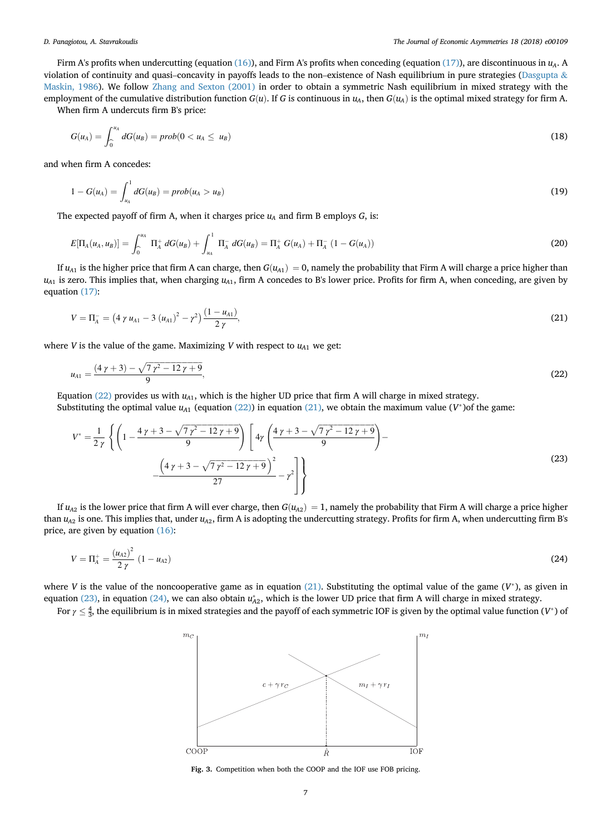<span id="page-6-0"></span>Firm A's profits when undercutting (equation [\(16\)\)](#page-5-0), and Firm A's profits when conceding (equation [\(17\)\)](#page-5-0), are discontinuous in  $u<sub>A</sub>$ . A violation of continuity and quasi–concavity in payoffs leads to the non–existence of Nash equilibrium in pure strategies [\(Dasgupta](#page-15-0) & [Maskin, 1986](#page-15-0)). We follow [Zhang and Sexton \(2001\)](#page-15-0) in order to obtain a symmetric Nash equilibrium in mixed strategy with the employment of the cumulative distribution function  $G(u)$ . If G is continuous in  $u_A$ , then  $G(u_A)$  is the optimal mixed strategy for firm A.

When firm A undercuts firm B's price:

$$
G(u_A) = \int_0^{u_A} dG(u_B) = prob(0 < u_A \leq u_B)
$$
\n(18)

and when firm A concedes:

$$
1 - G(u_A) = \int_{u_A}^1 dG(u_B) = prob(u_A > u_B)
$$
\n(19)

The expected payoff of firm A, when it charges price  $u_A$  and firm B employs  $G$ , is:

$$
E[\Pi_A(u_A, u_B)] = \int_0^{u_A} \Pi_A^+ dG(u_B) + \int_{u_A}^1 \Pi_A^- dG(u_B) = \Pi_A^+ G(u_A) + \Pi_A^- (1 - G(u_A))
$$
\n(20)

If  $u_{A1}$  is the higher price that firm A can charge, then  $G(u_{A1}) = 0$ , namely the probability that Firm A will charge a price higher than  $u_{A1}$  is zero. This implies that, when charging  $u_{A1}$ , firm A concedes to B's lower price. Profits for firm A, when conceding, are given by equation [\(17\):](#page-5-0)

$$
V = \Pi_A^- = \left(4 \gamma u_{A1} - 3 (u_{A1})^2 - \gamma^2\right) \frac{(1 - u_{A1})}{2 \gamma},\tag{21}
$$

where V is the value of the game. Maximizing V with respect to  $u_{A1}$  we get:

$$
u_{A1} = \frac{(4\gamma + 3) - \sqrt{7\gamma^2 - 12\gamma + 9}}{9},\tag{22}
$$

Equation (22) provides us with  $u_{A1}$ , which is the higher UD price that firm A will charge in mixed strategy.

Substituting the optimal value  $u_{A1}$  (equation (22)) in equation (21), we obtain the maximum value (V\*)of the game:

$$
V^* = \frac{1}{2\gamma} \left\{ \left( 1 - \frac{4\gamma + 3 - \sqrt{7\gamma^2 - 12\gamma + 9}}{9} \right) \left[ 4\gamma \left( \frac{4\gamma + 3 - \sqrt{7\gamma^2 - 12\gamma + 9}}{9} \right) - \frac{\left( 4\gamma + 3 - \sqrt{7\gamma^2 - 12\gamma + 9}}{27} \right)^2}{27} - \gamma^2 \right] \right\}
$$
(23)

If  $u_{A2}$  is the lower price that firm A will ever charge, then  $G(u_{A2}) = 1$ , namely the probability that Firm A will charge a price higher than  $u_{A2}$  is one. This implies that, under  $u_{A2}$ , firm A is adopting the undercutting strategy. Profits for firm A, when undercutting firm B's price, are given by equation [\(16\)](#page-5-0):

$$
V = \Pi_A^+ = \frac{(u_{A2})^2}{2\gamma} (1 - u_{A2})
$$
\n(24)

where V is the value of the noncooperative game as in equation (21). Substituting the optimal value of the game  $(V^*)$ , as given in equation (23), in equation (24), we can also obtain  $u_{A2}^*$ , which is the lower UD price that firm A will charge in mixed strategy.

For  $\gamma\leq\frac{4}{3}$ , the equilibrium is in mixed strategies and the payoff of each symmetric IOF is given by the optimal value function (V\*) of



Fig. 3. Competition when both the COOP and the IOF use FOB pricing.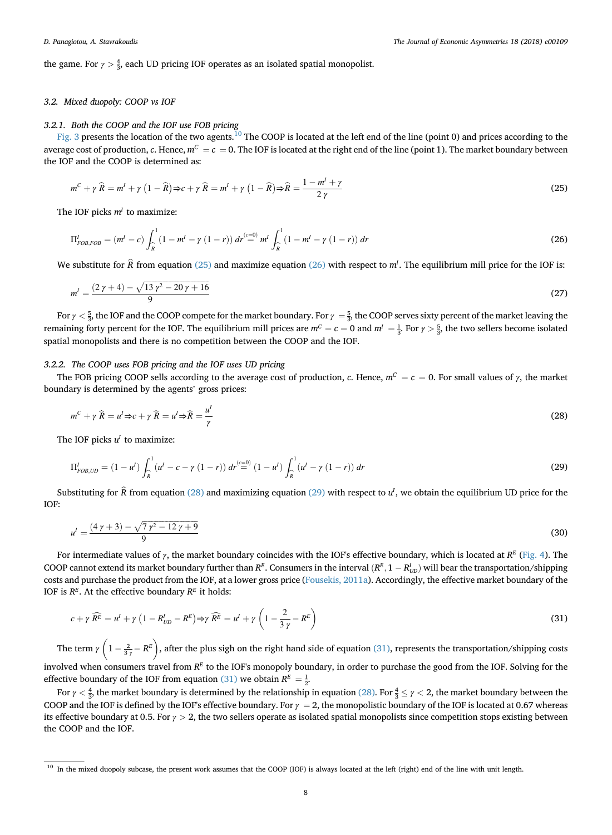the game. For  $\gamma > \frac{4}{3}$ , each UD pricing IOF operates as an isolated spatial monopolist.

## 3.2. Mixed duopoly: COOP vs IOF

## 3.2.1. Both the COOP and the IOF use FOB pricing

[Fig. 3](#page-6-0) presents the location of the two agents.<sup>10</sup> The COOP is located at the left end of the line (point 0) and prices according to the average cost of production, c. Hence,  $m^C = c = 0$ . The IOF is located at the right end of the line (point 1). The market boundary between the IOF and the COOP is determined as:

$$
m^{C} + \gamma \widehat{R} = m^{I} + \gamma \left(1 - \widehat{R}\right) \Rightarrow c + \gamma \widehat{R} = m^{I} + \gamma \left(1 - \widehat{R}\right) \Rightarrow \widehat{R} = \frac{1 - m^{I} + \gamma}{2 \gamma}
$$
\n
$$
(25)
$$

The IOF picks  $m<sup>I</sup>$  to maximize:

$$
\Pi_{FOB, FOB}^I = (m^I - c) \int_{\widehat{R}}^1 (1 - m^I - \gamma (1 - r)) dr \stackrel{(c=0)}{=} m^I \int_{\widehat{R}}^1 (1 - m^I - \gamma (1 - r)) dr \tag{26}
$$

We substitute for  $\hat{R}$  from equation (25) and maximize equation (26) with respect to  $m<sup>I</sup>$ . The equilibrium mill price for the IOF is:

$$
m' = \frac{(2\gamma + 4) - \sqrt{13\gamma^2 - 20\gamma + 16}}{9} \tag{27}
$$

For  $\gamma < \frac{5}{3}$ , the IOF and the COOP compete for the market boundary. For  $\gamma = \frac{5}{3}$ , the COOP serves sixty percent of the market leaving the remaining forty percent for the IOF. The equilibrium mill prices are  $m^C = c = 0$  and  $m^I = \frac{1}{3}$ . For  $\gamma > \frac{5}{3}$ , the two sellers become isolated spatial monopolists and there is no competition between the COOP and the IOF.

## 3.2.2. The COOP uses FOB pricing and the IOF uses UD pricing

The FOB pricing COOP sells according to the average cost of production, c. Hence,  $m^C = c = 0$ . For small values of  $\gamma$ , the market boundary is determined by the agents' gross prices:

$$
m^{C} + \gamma \widehat{R} = u^{I} \Rightarrow c + \gamma \widehat{R} = u^{I} \Rightarrow \widehat{R} = \frac{u^{I}}{\gamma}
$$
\n(28)

The IOF picks  $u^I$  to maximize:

$$
\Pi_{FOB, UD}^{I} = (1 - u^{I}) \int_{\widehat{R}}^{1} (u^{I} - c - \gamma (1 - r)) dr^{(c=0)} (1 - u^{I}) \int_{\widehat{R}}^{1} (u^{I} - \gamma (1 - r)) dr
$$
\n(29)

Substituting for  $\hat{R}$  from equation (28) and maximizing equation (29) with respect to  $u^I$ , we obtain the equilibrium UD price for the IOF:

$$
u' = \frac{(4\gamma + 3) - \sqrt{7\gamma^2 - 12\gamma + 9}}{9} \tag{30}
$$

For intermediate values of  $\gamma$ , the market boundary coincides with the IOF's effective boundary, which is located at  $R^E$  [\(Fig. 4\)](#page-8-0). The COOP cannot extend its market boundary further than  $R^E$ . Consumers in the interval  $(R^E, 1 - R^I_{UD})$  will bear the transportation/shipping costs and purchase the product from the IOF, at a lower gross price ([Fousekis, 2011a](#page-15-0)). Accordingly, the effective market boundary of the IOF is  $R^E$ . At the effective boundary  $R^E$  it holds:

$$
c + \gamma \widehat{R^E} = u^I + \gamma \left( 1 - R^I_{UD} - R^E \right) \Rightarrow \gamma \widehat{R^E} = u^I + \gamma \left( 1 - \frac{2}{3\gamma} - R^E \right)
$$
\n(31)

The term  $\gamma\left(1-\frac{2}{3\gamma}-R^E\right)$ , after the plus sigh on the right hand side of equation (31), represents the transportation/shipping costs involved when consumers travel from  $R<sup>E</sup>$  to the IOF's monopoly boundary, in order to purchase the good from the IOF. Solving for the effective boundary of the IOF from equation (31) we obtain  $R^E = \frac{1}{2}$ .

For  $\gamma<\frac{4}{3}$ , the market boundary is determined by the relationship in equation (28). For  $\frac{4}{3}\leq\gamma<$  2, the market boundary between the COOP and the IOF is defined by the IOF's effective boundary. For  $\gamma = 2$ , the monopolistic boundary of the IOF is located at 0.67 whereas its effective boundary at 0.5. For  $\gamma > 2$ , the two sellers operate as isolated spatial monopolists since competition stops existing between the COOP and the IOF.

<sup>&</sup>lt;sup>10</sup> In the mixed duopoly subcase, the present work assumes that the COOP (IOF) is always located at the left (right) end of the line with unit length.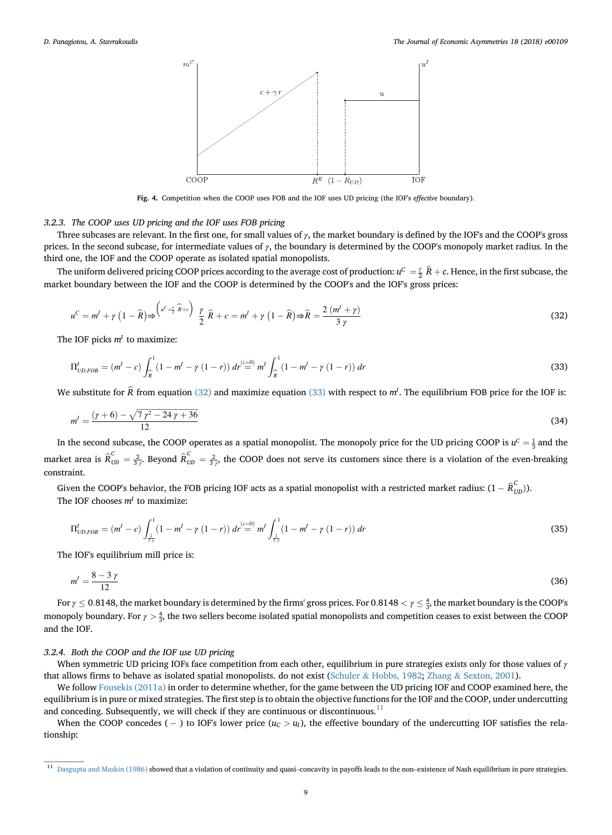<span id="page-8-0"></span>

Fig. 4. Competition when the COOP uses FOB and the IOF uses UD pricing (the IOF's effective boundary).

## 3.2.3. The COOP uses UD pricing and the IOF uses FOB pricing

Three subcases are relevant. In the first one, for small values of  $\gamma$ , the market boundary is defined by the IOF's and the COOP's gross prices. In the second subcase, for intermediate values of  $\gamma$ , the boundary is determined by the COOP's monopoly market radius. In the third one, the IOF and the COOP operate as isolated spatial monopolists.

The uniform delivered pricing COOP prices according to the average cost of production:  $u^C = \frac{v}{2}$   $\widehat{R}+c$ . Hence, in the first subcase, the market boundary between the IOF and the COOP is determined by the COOP's and the IOF's gross prices:

$$
u^C = m^I + \gamma \left(1 - \widehat{R}\right) \Rightarrow \begin{pmatrix} u^C = \frac{\gamma}{2} \widehat{R} + c \end{pmatrix} \frac{\gamma}{2} \widehat{R} + c = m^I + \gamma \left(1 - \widehat{R}\right) \Rightarrow \widehat{R} = \frac{2 \left(m^I + \gamma\right)}{3 \gamma} \tag{32}
$$

The IOF picks  $m<sup>I</sup>$  to maximize:

$$
\Pi_{UD,FOB}^{I} = (m^{I} - c) \int_{\widehat{R}}^{1} (1 - m^{I} - \gamma (1 - r)) dr \stackrel{(c=0)}{=} m^{I} \int_{\widehat{R}}^{1} (1 - m^{I} - \gamma (1 - r)) dr
$$
\n(33)

We substitute for  $\bar{R}$  from equation (32) and maximize equation (33) with respect to  $m<sup>l</sup>$ . The equilibrium FOB price for the IOF is:

$$
m' = \frac{(\gamma + 6) - \sqrt{7\gamma^2 - 24\gamma + 36}}{12} \tag{34}
$$

In the second subcase, the COOP operates as a spatial monopolist. The monopoly price for the UD pricing COOP is  $u^c = \frac{1}{3}$  and the market area is  $\hat{R}_{UD}^C = \frac{2}{3\gamma}$ . Beyond  $\hat{R}_{UD}^C = \frac{2}{3\gamma}$ , the COOP does not serve its customers since there is a violation of the even-breaking constraint.

Given the COOP's behavior, the FOB pricing IOF acts as a spatial monopolist with a restricted market radius:  $(1 - \hat{R}_{UD}^C)$ ). The IOF chooses  $m<sup>I</sup>$  to maximize:

$$
\Pi_{UD,FOB}^{I} = (m^{I} - c) \int_{\frac{2}{3\gamma}}^{1} (1 - m^{I} - \gamma (1 - r)) dr^{(c=0)} m^{I} \int_{\frac{2}{3\gamma}}^{1} (1 - m^{I} - \gamma (1 - r)) dr
$$
\n(35)

The IOF's equilibrium mill price is:

$$
m' = \frac{8 - 3\gamma}{12} \tag{36}
$$

For  $\gamma\leq 0.8148$ , the market boundary is determined by the firms' gross prices. For  $0.8148<\gamma\leq \frac{4}{3}$ , the market boundary is the COOP's monopoly boundary. For  $\gamma>\frac{4}{3}$ , the two sellers become isolated spatial monopolists and competition ceases to exist between the COOP and the IOF.

## 3.2.4. Both the COOP and the IOF use UD pricing

When symmetric UD pricing IOFs face competition from each other, equilibrium in pure strategies exists only for those values of  $\gamma$ that allows firms to behave as isolated spatial monopolists. do not exist [\(Schuler](#page-15-0) & [Hobbs, 1982;](#page-15-0) [Zhang](#page-15-0) & [Sexton, 2001\)](#page-15-0).

We follow [Fousekis \(2011a\)](#page-15-0) in order to determine whether, for the game between the UD pricing IOF and COOP examined here, the equilibrium is in pure or mixed strategies. The first step is to obtain the objective functions for the IOF and the COOP, under undercutting and conceding. Subsequently, we will check if they are continuous or discontinuous.<sup>11</sup>

When the COOP concedes ( $-$ ) to IOF's lower price ( $u<sub>C</sub> > u<sub>I</sub>$ ), the effective boundary of the undercutting IOF satisfies the relationship:

<sup>&</sup>lt;sup>11</sup> [Dasgupta and Maskin \(1986\)](#page-15-0) showed that a violation of continuity and quasi-concavity in payoffs leads to the non-existence of Nash equilibrium in pure strategies.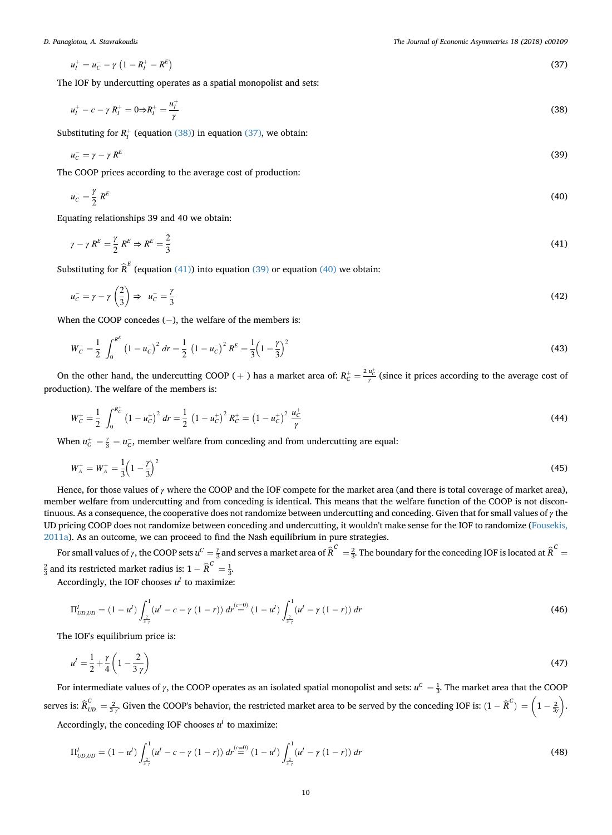$$
u_I^+ = u_C^- - \gamma \left( 1 - R_I^+ - R^E \right) \tag{37}
$$

The IOF by undercutting operates as a spatial monopolist and sets:

$$
u_l^+ - c - \gamma R_l^+ = 0 \Rightarrow R_l^+ = \frac{u_l^+}{\gamma}
$$
\n(38)

Substituting for  $R_I^+$  (equation (38)) in equation (37), we obtain:

$$
u_C^- = \gamma - \gamma R^E \tag{39}
$$

The COOP prices according to the average cost of production:

$$
u_C^-=\frac{\gamma}{2}R^E\tag{40}
$$

Equating relationships 39 and 40 we obtain:

$$
\gamma - \gamma R^E = \frac{\gamma}{2} R^E \Rightarrow R^E = \frac{2}{3}
$$
\n<sup>(41)</sup>

Substituting for  $\widehat{R}^E$  (equation (41)) into equation (39) or equation (40) we obtain:

$$
u_C^- = \gamma - \gamma \left(\frac{2}{3}\right) \Rightarrow u_C^- = \frac{\gamma}{3} \tag{42}
$$

When the COOP concedes  $(-)$ , the welfare of the members is:

$$
W_C^- = \frac{1}{2} \int_0^{R^E} \left(1 - u_C^-\right)^2 dr = \frac{1}{2} \left(1 - u_C^-\right)^2 R^E = \frac{1}{3} \left(1 - \frac{\gamma}{3}\right)^2 \tag{43}
$$

On the other hand, the undercutting COOP (+) has a market area of:  $R_C^+ = \frac{2 u_C^+}{\gamma}$  (since it prices according to the average cost of production). The welfare of the members is:

$$
W_C^+ = \frac{1}{2} \int_0^{R_C^+} \left(1 - u_C^+\right)^2 dr = \frac{1}{2} \left(1 - u_C^+\right)^2 R_C^+ = \left(1 - u_C^+\right)^2 \frac{u_C^+}{\gamma}
$$
(44)

When  $u_c^+ = \frac{y}{3} = u_c^-$ , member welfare from conceding and from undercutting are equal:

$$
W_A^- = W_A^+ = \frac{1}{3} \left( 1 - \frac{y}{3} \right)^2 \tag{45}
$$

Hence, for those values of  $\gamma$  where the COOP and the IOF compete for the market area (and there is total coverage of market area), member welfare from undercutting and from conceding is identical. This means that the welfare function of the COOP is not discontinuous. As a consequence, the cooperative does not randomize between undercutting and conceding. Given that for small values of  $\gamma$  the UD pricing COOP does not randomize between conceding and undercutting, it wouldn't make sense for the IOF to randomize [\(Fousekis,](#page-15-0) [2011a\)](#page-15-0). As an outcome, we can proceed to find the Nash equilibrium in pure strategies.

For small values of  $\gamma$ , the COOP sets  $u^C=\frac{\gamma}{3}$  and serves a market area of  $\widehat R^C=\frac{2}{3}$ . The boundary for the conceding IOF is located at  $\widehat R^C=$  $\frac{2}{3}$  and its restricted market radius is:  $1 - \widehat{R}^C = \frac{1}{3}$ .

Accordingly, the IOF chooses  $u^I$  to maximize:

$$
\Pi_{UD,UD}^{I} = (1 - u^{I}) \int_{\frac{2}{3\gamma}}^{1} (u^{I} - c - \gamma (1 - r)) dr \stackrel{(c = 0)}{=} (1 - u^{I}) \int_{\frac{2}{3\gamma}}^{1} (u^{I} - \gamma (1 - r)) dr
$$
\n(46)

The IOF's equilibrium price is:

$$
u' = \frac{1}{2} + \frac{\gamma}{4} \left( 1 - \frac{2}{3\gamma} \right) \tag{47}
$$

For intermediate values of  $\gamma$ , the COOP operates as an isolated spatial monopolist and sets:  $u^C = \frac{1}{3}$ . The market area that the COOP serves is:  $\widehat{\bm{\mathsf{R}}}^C_{\textit{UD}} = \frac{2}{3\gamma}$  Given the COOP's behavior, the restricted market area to be served by the conceding IOF is:  $(1-\widehat{\bm{\mathsf{R}}}^C) = \left(1-\frac{2}{3\gamma}\right)$ .).

Accordingly, the conceding IOF chooses  $u^I$  to maximize:

$$
\Pi_{UD,UD}^{I} = (1 - u^{I}) \int_{\frac{2}{3\gamma}}^{1} (u^{I} - c - \gamma (1 - r)) dr \stackrel{(c=0)}{=} (1 - u^{I}) \int_{\frac{2}{3\gamma}}^{1} (u^{I} - \gamma (1 - r)) dr
$$
\n(48)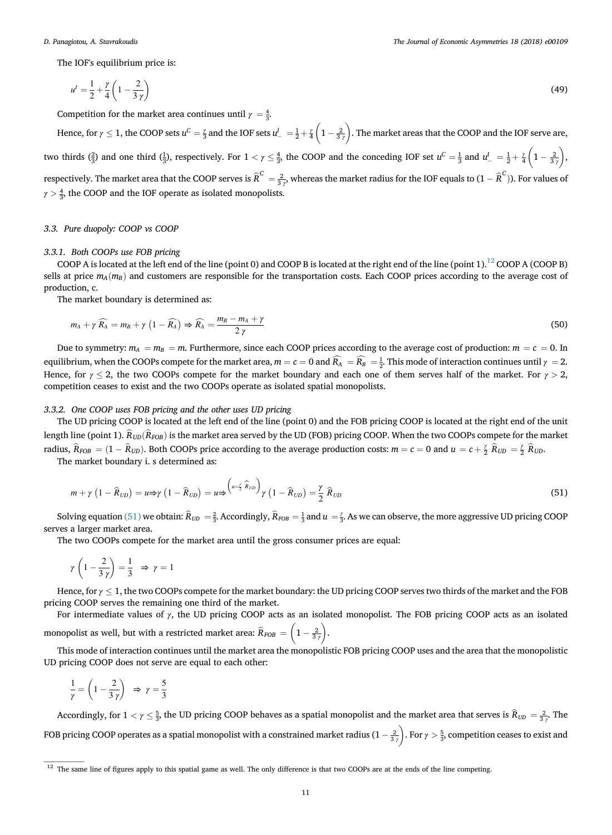The IOF's equilibrium price is:

$$
u' = \frac{1}{2} + \frac{\gamma}{4} \left( 1 - \frac{2}{3\gamma} \right)
$$
(49)

Competition for the market area continues until  $\gamma = \frac{4}{3}$ .

Hence, for  $\gamma \leq 1$ , the COOP sets  $u^C = \frac{\gamma}{3}$  and the IOF sets  $u^I_- = \frac{1}{2} + \frac{\gamma}{4}$  $\left(1 - \frac{2}{3} \right)$  . The market areas that the COOP and the IOF serve are, two thirds  $(\frac{2}{3})$  and one third  $(\frac{1}{3})$ , respectively. For  $1 < \gamma \leq \frac{4}{3}$ , the COOP and the conceding IOF set  $u^C = \frac{1}{3}$  and  $u^L = \frac{1}{2} + \frac{\gamma}{4}$  $\left(1-\frac{2}{3}\right)$ ), respectively. The market area that the COOP serves is  $\widehat R^C=\frac{2}{3\gamma'}$  whereas the market radius for the IOF equals to  $(1-\widehat R^C)$ ). For values of  $\gamma > \frac{4}{3}$ , the COOP and the IOF operate as isolated monopolists.

## 3.3. Pure duopoly: COOP vs COOP

## 3.3.1. Both COOPs use FOB pricing

COOP A is located at the left end of the line (point 0) and COOP B is located at the right end of the line (point 1).<sup>12</sup> COOP A (COOP B) sells at price  $m_A(m_B)$  and customers are responsible for the transportation costs. Each COOP prices according to the average cost of production, c.

The market boundary is determined as:

$$
m_A + \gamma \widehat{R_A} = m_B + \gamma \left( 1 - \widehat{R_A} \right) \Rightarrow \widehat{R_A} = \frac{m_B - m_A + \gamma}{2 \gamma} \tag{50}
$$

Due to symmetry:  $m_A = m_B = m$ . Furthermore, since each COOP prices according to the average cost of production:  $m = c = 0$ . In equilibrium, when the COOPs compete for the market area,  $m = c = 0$  and  $R_A = R_B = \frac{1}{2}$ . This mode of interaction continues until  $\gamma = 2$ . Hence, for  $\gamma \le 2$ , the two COOPs compete for the market boundary and each one of them serves half of the market. For  $\gamma > 2$ , competition ceases to exist and the two COOPs operate as isolated spatial monopolists.

## 3.3.2. One COOP uses FOB pricing and the other uses UD pricing

The UD pricing COOP is located at the left end of the line (point 0) and the FOB pricing COOP is located at the right end of the unit length line (point 1).  $\hat{R}_{UD}(\hat{R}_{POB})$  is the market area served by the UD (FOB) pricing COOP. When the two COOPs compete for the market radius,  $\hat{R}_{FOB} = (1 - \hat{R}_{UD})$ . Both COOPs price according to the average production costs:  $m = c = 0$  and  $u = c + \frac{\gamma}{2} \hat{R}_{UD} = \frac{\gamma}{2} \hat{R}_{UD}$ .

The market boundary i. s determined as:

$$
m + \gamma \left(1 - \widehat{R}_{UD}\right) = u \Rightarrow \gamma \left(1 - \widehat{R}_{UD}\right) = u \Rightarrow \left(\begin{matrix} u - \frac{\gamma}{2} & \widehat{R}_{UD} \\ v & 1 - \widehat{R}_{UD}\end{matrix}\right) = \frac{\gamma}{2} \widehat{R}_{UD} \tag{51}
$$

Solving equation (51) we obtain:  $\hat{R}_{UD} = \frac{2}{3}$ . Accordingly,  $\hat{R}_{FOB} = \frac{1}{3}$  and  $u = \frac{y}{3}$ . As we can observe, the more aggressive UD pricing COOP serves a larger market area.

The two COOPs compete for the market area until the gross consumer prices are equal:

$$
\gamma\left(1-\frac{2}{3\,\gamma}\right)=\frac{1}{3}\,\,\Rightarrow\,\gamma=1
$$

Hence, for  $\gamma \leq 1$ , the two COOPs compete for the market boundary: the UD pricing COOP serves two thirds of the market and the FOB pricing COOP serves the remaining one third of the market.

For intermediate values of γ, the UD pricing COOP acts as an isolated monopolist. The FOB pricing COOP acts as an isolated monopolist as well, but with a restricted market area:  $\widehat R_{FOB} = \left(1 - \frac{2}{3}\right)^2$  $\big).$ 

This mode of interaction continues until the market area the monopolistic FOB pricing COOP uses and the area that the monopolistic UD pricing COOP does not serve are equal to each other:

$$
\frac{1}{\gamma} = \left(1 - \frac{2}{3\gamma}\right) \Rightarrow \gamma = \frac{5}{3}
$$

Accordingly, for  $1 < \gamma \le \frac{5}{3}$ , the UD pricing COOP behaves as a spatial monopolist and the market area that serves is  $\widehat{R}_{UD} = \frac{2}{3\gamma}$ . The FOB pricing COOP operates as a spatial monopolist with a constrained market radius (1  $-\frac{2}{3}$ )  $\left( \cdot \right)$ . For  $\gamma > \frac{5}{3}$ , competition ceases to exist and

<sup>&</sup>lt;sup>12</sup> The same line of figures apply to this spatial game as well. The only difference is that two COOPs are at the ends of the line competing.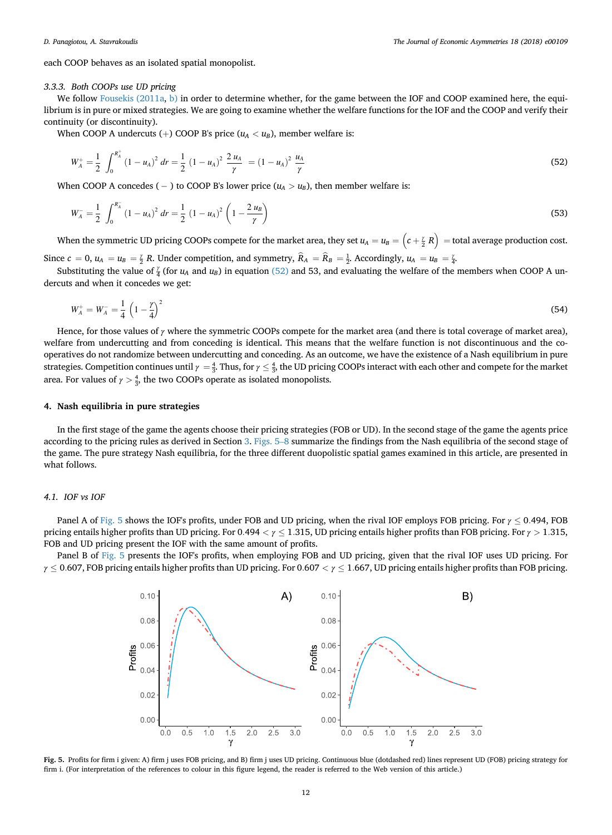<span id="page-11-0"></span>each COOP behaves as an isolated spatial monopolist.

## 3.3.3. Both COOPs use UD pricing

We follow [Fousekis \(2011a](#page-15-0), [b\)](#page-15-0) in order to determine whether, for the game between the IOF and COOP examined here, the equilibrium is in pure or mixed strategies. We are going to examine whether the welfare functions for the IOF and the COOP and verify their continuity (or discontinuity).

When COOP A undercuts (+) COOP B's price ( $u_A < u_B$ ), member welfare is:

$$
W_A^+ = \frac{1}{2} \int_0^{R_A^+} (1 - u_A)^2 \, dr = \frac{1}{2} \left( 1 - u_A \right)^2 \frac{2 u_A}{\gamma} = \left( 1 - u_A \right)^2 \frac{u_A}{\gamma} \tag{52}
$$

When COOP A concedes (  $-$  ) to COOP B's lower price ( $u_A > u_B$ ), then member welfare is:

$$
W_A^- = \frac{1}{2} \int_0^{R_A^-} (1 - u_A)^2 dr = \frac{1}{2} (1 - u_A)^2 \left( 1 - \frac{2 u_B}{\gamma} \right)
$$
 (53)

When the symmetric UD pricing COOPs compete for the market area, they set  $u_A=u_B=\left(c+\frac{y}{2}\ R\right)^2=$  total average production cost.

Since  $c = 0$ ,  $u_A = u_B = \frac{y}{2}R$ . Under competition, and symmetry,  $\hat{R}_A = \hat{R}_B = \frac{1}{2}$ . Accordingly,  $u_A = u_B = \frac{y}{4}$ .

Substituting the value of  $\frac{y}{4}$  (for  $u_A$  and  $u_B$ ) in equation (52) and 53, and evaluating the welfare of the members when COOP A undercuts and when it concedes we get:

$$
W_A^+ = W_A^- = \frac{1}{4} \left( 1 - \frac{\gamma}{4} \right)^2 \tag{54}
$$

Hence, for those values of  $\gamma$  where the symmetric COOPs compete for the market area (and there is total coverage of market area), welfare from undercutting and from conceding is identical. This means that the welfare function is not discontinuous and the cooperatives do not randomize between undercutting and conceding. As an outcome, we have the existence of a Nash equilibrium in pure strategies. Competition continues until  $\gamma=\frac{4}{3}$ . Thus, for  $\gamma\leq\frac{4}{3}$ , the UD pricing COOPs interact with each other and compete for the market area. For values of  $\gamma > \frac{4}{3}$ , the two COOPs operate as isolated monopolists.

## 4. Nash equilibria in pure strategies

In the first stage of the game the agents choose their pricing strategies (FOB or UD). In the second stage of the game the agents price according to the pricing rules as derived in Section [3.](#page-3-0) Figs. 5–<sup>8</sup> summarize the findings from the Nash equilibria of the second stage of the game. The pure strategy Nash equilibria, for the three different duopolistic spatial games examined in this article, are presented in what follows.

## 4.1. IOF vs IOF

Panel A of Fig. 5 shows the IOF's profits, under FOB and UD pricing, when the rival IOF employs FOB pricing. For  $\gamma$  < 0.494, FOB pricing entails higher profits than UD pricing. For 0.494  $\lt \gamma \leq 1.315$ , UD pricing entails higher profits than FOB pricing. For  $\gamma > 1.315$ , FOB and UD pricing present the IOF with the same amount of profits.

Panel B of Fig. 5 presents the IOF's profits, when employing FOB and UD pricing, given that the rival IOF uses UD pricing. For  $\gamma \leq 0.607$ , FOB pricing entails higher profits than UD pricing. For 0.607  $\langle \gamma \leq 1.667$ , UD pricing entails higher profits than FOB pricing.



Fig. 5. Profits for firm i given: A) firm j uses FOB pricing, and B) firm j uses UD pricing. Continuous blue (dotdashed red) lines represent UD (FOB) pricing strategy for firm i. (For interpretation of the references to colour in this figure legend, the reader is referred to the Web version of this article.)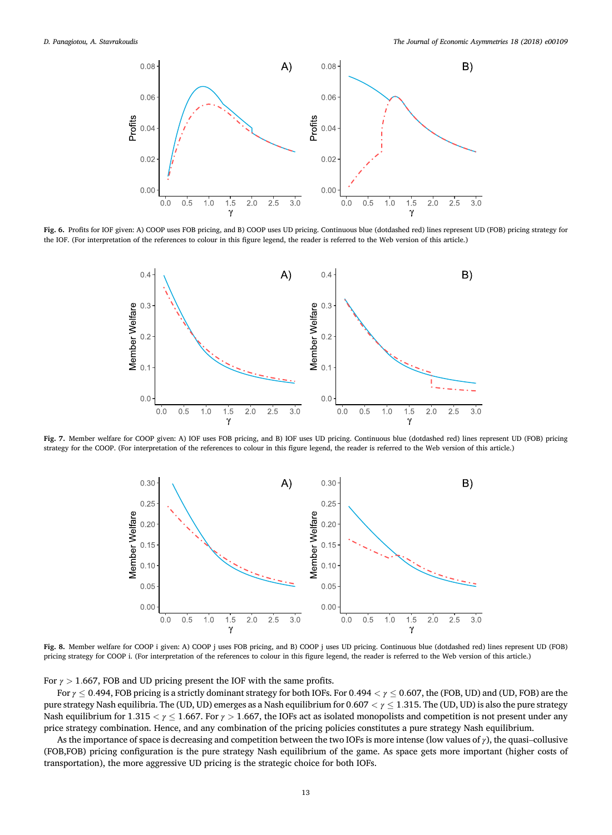<span id="page-12-0"></span>

Fig. 6. Profits for IOF given: A) COOP uses FOB pricing, and B) COOP uses UD pricing. Continuous blue (dotdashed red) lines represent UD (FOB) pricing strategy for the IOF. (For interpretation of the references to colour in this figure legend, the reader is referred to the Web version of this article.)



Fig. 7. Member welfare for COOP given: A) IOF uses FOB pricing, and B) IOF uses UD pricing. Continuous blue (dotdashed red) lines represent UD (FOB) pricing strategy for the COOP. (For interpretation of the references to colour in this figure legend, the reader is referred to the Web version of this article.)



Fig. 8. Member welfare for COOP i given: A) COOP j uses FOB pricing, and B) COOP j uses UD pricing. Continuous blue (dotdashed red) lines represent UD (FOB) pricing strategy for COOP i. (For interpretation of the references to colour in this figure legend, the reader is referred to the Web version of this article.)

For  $\gamma > 1.667$ , FOB and UD pricing present the IOF with the same profits.

For  $\gamma \leq 0.494$ , FOB pricing is a strictly dominant strategy for both IOFs. For 0.494  $\lt \gamma \leq 0.607$ , the (FOB, UD) and (UD, FOB) are the pure strategy Nash equilibria. The (UD, UD) emerges as a Nash equilibrium for  $0.607 < \gamma \leq 1.315$ . The (UD, UD) is also the pure strategy Nash equilibrium for 1.315  $\lt \gamma \le 1.667$ . For  $\gamma > 1.667$ , the IOFs act as isolated monopolists and competition is not present under any price strategy combination. Hence, and any combination of the pricing policies constitutes a pure strategy Nash equilibrium.

As the importance of space is decreasing and competition between the two IOFs is more intense (low values of <sup>γ</sup>), the quasi–collusive (FOB,FOB) pricing configuration is the pure strategy Nash equilibrium of the game. As space gets more important (higher costs of transportation), the more aggressive UD pricing is the strategic choice for both IOFs.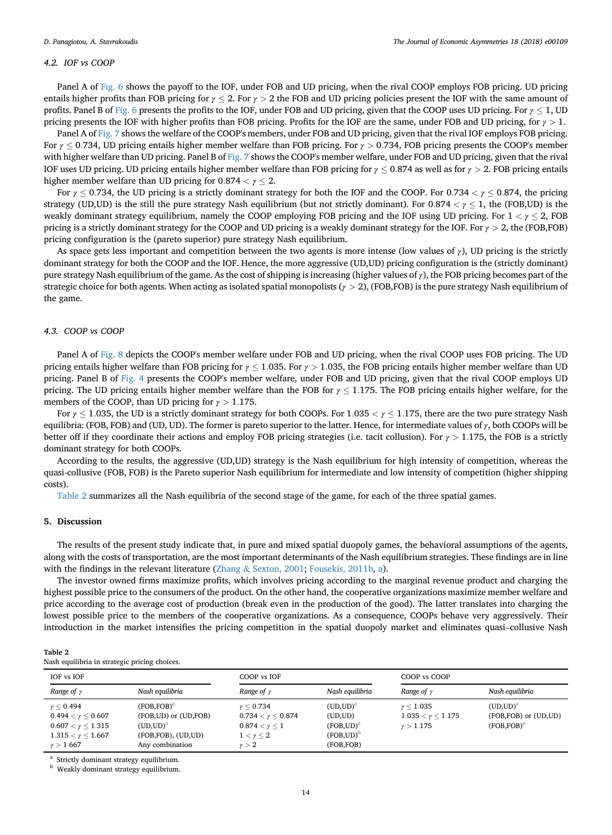## <span id="page-13-0"></span>4.2. IOF vs COOP

Panel A of [Fig. 6](#page-12-0) shows the payoff to the IOF, under FOB and UD pricing, when the rival COOP employs FOB pricing. UD pricing entails higher profits than FOB pricing for  $\gamma$  < 2. For  $\gamma$  > 2 the FOB and UD pricing policies present the IOF with the same amount of profits. Panel B of [Fig. 6](#page-12-0) presents the profits to the IOF, under FOB and UD pricing, given that the COOP uses UD pricing. For  $\gamma$  < 1, UD pricing presents the IOF with higher profits than FOB pricing. Profits for the IOF are the same, under FOB and UD pricing, for  $\gamma > 1$ .

Panel A of [Fig. 7](#page-12-0) shows the welfare of the COOP's members, under FOB and UD pricing, given that the rival IOF employs FOB pricing. For  $\gamma \leq 0.734$ , UD pricing entails higher member welfare than FOB pricing. For  $\gamma > 0.734$ , FOB pricing presents the COOP's member with higher welfare than UD pricing. Panel B of [Fig. 7](#page-12-0) shows the COOP's member welfare, under FOB and UD pricing, given that the rival IOF uses UD pricing. UD pricing entails higher member welfare than FOB pricing for  $\gamma \leq 0.874$  as well as for  $\gamma > 2$ . FOB pricing entails higher member welfare than UD pricing for  $0.874 < y < 2$ .

For  $\gamma \le 0.734$ , the UD pricing is a strictly dominant strategy for both the IOF and the COOP. For 0.734  $\lt \gamma \le 0.874$ , the pricing strategy (UD,UD) is the still the pure strategy Nash equilibrium (but not strictly dominant). For  $0.874 < \gamma \leq 1$ , the (FOB,UD) is the weakly dominant strategy equilibrium, namely the COOP employing FOB pricing and the IOF using UD pricing. For  $1 < \gamma \leq 2$ , FOB pricing is a strictly dominant strategy for the COOP and UD pricing is a weakly dominant strategy for the IOF. For  $\gamma > 2$ , the (FOB,FOB) pricing configuration is the (pareto superior) pure strategy Nash equilibrium.

As space gets less important and competition between the two agents is more intense (low values of  $\gamma$ ), UD pricing is the strictly dominant strategy for both the COOP and the IOF. Hence, the more aggressive (UD,UD) pricing configuration is the (strictly dominant) pure strategy Nash equilibrium of the game. As the cost of shipping is increasing (higher values of  $\gamma$ ), the FOB pricing becomes part of the strategic choice for both agents. When acting as isolated spatial monopolists ( $\gamma > 2$ ), (FOB,FOB) is the pure strategy Nash equilibrium of the game.

## 4.3. COOP vs COOP

Panel A of [Fig. 8](#page-12-0) depicts the COOP's member welfare under FOB and UD pricing, when the rival COOP uses FOB pricing. The UD pricing entails higher welfare than FOB pricing for  $\gamma$  < 1.035. For  $\gamma$  > 1.035, the FOB pricing entails higher member welfare than UD pricing. Panel B of [Fig. 4](#page-8-0) presents the COOP's member welfare, under FOB and UD pricing, given that the rival COOP employs UD pricing. The UD pricing entails higher member welfare than the FOB for  $\gamma \leq 1.175$ . The FOB pricing entails higher welfare, for the members of the COOP, than UD pricing for  $\gamma > 1.175$ .

For  $\gamma \leq 1.035$ , the UD is a strictly dominant strategy for both COOPs. For 1.035  $\lt \gamma \leq 1.175$ , there are the two pure strategy Nash equilibria: (FOB, FOB) and (UD, UD). The former is pareto superior to the latter. Hence, for intermediate values of  $\gamma$ , both COOPs will be better off if they coordinate their actions and employ FOB pricing strategies (i.e. tacit collusion). For  $\gamma > 1.175$ , the FOB is a strictly dominant strategy for both COOPs.

According to the results, the aggressive (UD,UD) strategy is the Nash equilibrium for high intensity of competition, whereas the quasi-collusive (FOB, FOB) is the Pareto superior Nash equilibrium for intermediate and low intensity of competition (higher shipping costs).

Table 2 summarizes all the Nash equilibria of the second stage of the game, for each of the three spatial games.

## 5. Discussion

 $\equiv$  22  $\equiv$ 

The results of the present study indicate that, in pure and mixed spatial duopoly games, the behavioral assumptions of the agents, along with the costs of transportation, are the most important determinants of the Nash equilibrium strategies. These findings are in line with the findings in the relevant literature [\(Zhang](#page-15-0) & [Sexton, 2001;](#page-15-0) [Fousekis, 2011b,](#page-15-0) [a\)](#page-15-0).

The investor owned firms maximize profits, which involves pricing according to the marginal revenue product and charging the highest possible price to the consumers of the product. On the other hand, the cooperative organizations maximize member welfare and price according to the average cost of production (break even in the production of the good). The latter translates into charging the lowest possible price to the members of the cooperative organizations. As a consequence, COOPs behave very aggressively. Their introduction in the market intensifies the pricing competition in the spatial duopoly market and eliminates quasi–collusive Nash

| Table 2<br>Nash equilibria in strategic pricing choices. |             |  |
|----------------------------------------------------------|-------------|--|
| IOF vs IOF                                               | COOP vs IOF |  |

| IOF vs IOF                                                                                                               |                                                                                                                     | COOP vs IOF                                                                                                   |                                                                                 | COOP vs COOP                                              |                                                                  |
|--------------------------------------------------------------------------------------------------------------------------|---------------------------------------------------------------------------------------------------------------------|---------------------------------------------------------------------------------------------------------------|---------------------------------------------------------------------------------|-----------------------------------------------------------|------------------------------------------------------------------|
| Range of $\gamma$                                                                                                        | Nash equilibria                                                                                                     | Range of $\gamma$                                                                                             | Nash equilibria                                                                 | Range of $\gamma$                                         | Nash eauilibria                                                  |
| $\gamma < 0.494$<br>$0.494 < \gamma < 0.607$<br>$0.607 < \gamma < 1.315$<br>$1.315 < \gamma < 1.667$<br>$\gamma > 1.667$ | (FOB.FOB) <sup>a</sup><br>(FOB, UD) or (UD, FOB)<br>(UD,UD) <sup>a</sup><br>(FOB, FOB), (UD, UD)<br>Any combination | $\gamma \le 0.734$<br>$0.734 < \gamma < 0.874$<br>$0.874 < \gamma < 1$<br>$1 < \gamma \leq 2$<br>$\gamma > 2$ | (UD,UD) <sup>a</sup><br>(UD,UD)<br>$(FOB, UD)^a$<br>$(FOB, UD)^D$<br>(FOB, FOB) | $\gamma < 1.035$<br>$1.035 < \gamma < 1.175$<br>v > 1.175 | (UD,UD) <sup>a</sup><br>(FOB, FOB) or (UD, UD)<br>$(FOB, FOB)^a$ |

<sup>a</sup> Strictly dominant strategy equilibrium.

**b** Weakly dominant strategy equilibrium.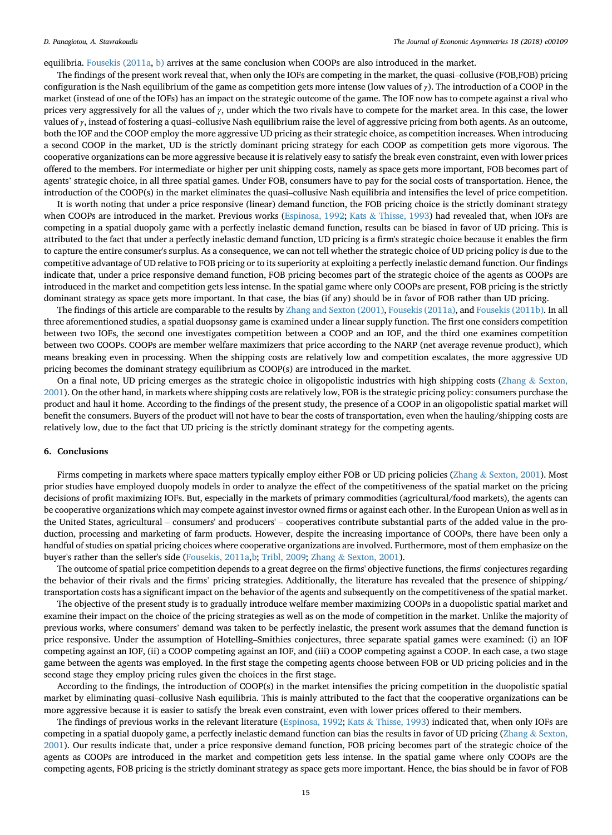<span id="page-14-0"></span>equilibria. [Fousekis \(2011a](#page-15-0), [b\)](#page-15-0) arrives at the same conclusion when COOPs are also introduced in the market.

The findings of the present work reveal that, when only the IOFs are competing in the market, the quasi–collusive (FOB,FOB) pricing configuration is the Nash equilibrium of the game as competition gets more intense (low values of  $\gamma$ ). The introduction of a COOP in the market (instead of one of the IOFs) has an impact on the strategic outcome of the game. The IOF now has to compete against a rival who prices very aggressively for all the values of  $\gamma$ , under which the two rivals have to compete for the market area. In this case, the lower values of  $\gamma$ , instead of fostering a quasi–collusive Nash equilibrium raise the level of aggressive pricing from both agents. As an outcome, both the IOF and the COOP employ the more aggressive UD pricing as their strategic choice, as competition increases. When introducing a second COOP in the market, UD is the strictly dominant pricing strategy for each COOP as competition gets more vigorous. The cooperative organizations can be more aggressive because it is relatively easy to satisfy the break even constraint, even with lower prices offered to the members. For intermediate or higher per unit shipping costs, namely as space gets more important, FOB becomes part of agents' strategic choice, in all three spatial games. Under FOB, consumers have to pay for the social costs of transportation. Hence, the introduction of the COOP(s) in the market eliminates the quasi–collusive Nash equilibria and intensifies the level of price competition.

It is worth noting that under a price responsive (linear) demand function, the FOB pricing choice is the strictly dominant strategy when COOPs are introduced in the market. Previous works [\(Espinosa, 1992](#page-15-0); [Kats](#page-15-0) & [Thisse, 1993](#page-15-0)) had revealed that, when IOFs are competing in a spatial duopoly game with a perfectly inelastic demand function, results can be biased in favor of UD pricing. This is attributed to the fact that under a perfectly inelastic demand function, UD pricing is a firm's strategic choice because it enables the firm to capture the entire consumer's surplus. As a consequence, we can not tell whether the strategic choice of UD pricing policy is due to the competitive advantage of UD relative to FOB pricing or to its superiority at exploiting a perfectly inelastic demand function. Our findings indicate that, under a price responsive demand function, FOB pricing becomes part of the strategic choice of the agents as COOPs are introduced in the market and competition gets less intense. In the spatial game where only COOPs are present, FOB pricing is the strictly dominant strategy as space gets more important. In that case, the bias (if any) should be in favor of FOB rather than UD pricing.

The findings of this article are comparable to the results by [Zhang and Sexton \(2001\),](#page-15-0) [Fousekis \(2011a\)](#page-15-0), and [Fousekis \(2011b\).](#page-15-0) In all three aforementioned studies, a spatial duopsonsy game is examined under a linear supply function. The first one considers competition between two IOFs, the second one investigates competition between a COOP and an IOF, and the third one examines competition between two COOPs. COOPs are member welfare maximizers that price according to the NARP (net average revenue product), which means breaking even in processing. When the shipping costs are relatively low and competition escalates, the more aggressive UD pricing becomes the dominant strategy equilibrium as COOP(s) are introduced in the market.

On a final note, UD pricing emerges as the strategic choice in oligopolistic industries with high shipping costs [\(Zhang](#page-15-0)  $&$  [Sexton,](#page-15-0) [2001\)](#page-15-0). On the other hand, in markets where shipping costs are relatively low, FOB is the strategic pricing policy: consumers purchase the product and haul it home. According to the findings of the present study, the presence of a COOP in an oligopolistic spatial market will benefit the consumers. Buyers of the product will not have to bear the costs of transportation, even when the hauling/shipping costs are relatively low, due to the fact that UD pricing is the strictly dominant strategy for the competing agents.

## 6. Conclusions

Firms competing in markets where space matters typically employ either FOB or UD pricing policies [\(Zhang](#page-15-0) & [Sexton, 2001\)](#page-15-0). Most prior studies have employed duopoly models in order to analyze the effect of the competitiveness of the spatial market on the pricing decisions of profit maximizing IOFs. But, especially in the markets of primary commodities (agricultural/food markets), the agents can be cooperative organizations which may compete against investor owned firms or against each other. In the European Union as well as in the United States, agricultural – consumers' and producers' – cooperatives contribute substantial parts of the added value in the production, processing and marketing of farm products. However, despite the increasing importance of COOPs, there have been only a handful of studies on spatial pricing choices where cooperative organizations are involved. Furthermore, most of them emphasize on the buyer's rather than the seller's side ([Fousekis, 2011a,b](#page-15-0); [Tribl, 2009](#page-15-0); [Zhang](#page-15-0) & [Sexton, 2001](#page-15-0)).

The outcome of spatial price competition depends to a great degree on the firms' objective functions, the firms' conjectures regarding the behavior of their rivals and the firms' pricing strategies. Additionally, the literature has revealed that the presence of shipping/ transportation costs has a significant impact on the behavior of the agents and subsequently on the competitiveness of the spatial market.

The objective of the present study is to gradually introduce welfare member maximizing COOPs in a duopolistic spatial market and examine their impact on the choice of the pricing strategies as well as on the mode of competition in the market. Unlike the majority of previous works, where consumers' demand was taken to be perfectly inelastic, the present work assumes that the demand function is price responsive. Under the assumption of Hotelling–Smithies conjectures, three separate spatial games were examined: (i) an IOF competing against an IOF, (ii) a COOP competing against an IOF, and (iii) a COOP competing against a COOP. In each case, a two stage game between the agents was employed. In the first stage the competing agents choose between FOB or UD pricing policies and in the second stage they employ pricing rules given the choices in the first stage.

According to the findings, the introduction of COOP(s) in the market intensifies the pricing competition in the duopolistic spatial market by eliminating quasi–collusive Nash equilibria. This is mainly attributed to the fact that the cooperative organizations can be more aggressive because it is easier to satisfy the break even constraint, even with lower prices offered to their members.

The findings of previous works in the relevant literature [\(Espinosa, 1992;](#page-15-0) [Kats](#page-15-0) & [Thisse, 1993](#page-15-0)) indicated that, when only IOFs are competing in a spatial duopoly game, a perfectly inelastic demand function can bias the results in favor of UD pricing ([Zhang](#page-15-0)  $\&$  [Sexton,](#page-15-0) [2001\)](#page-15-0). Our results indicate that, under a price responsive demand function, FOB pricing becomes part of the strategic choice of the agents as COOPs are introduced in the market and competition gets less intense. In the spatial game where only COOPs are the competing agents, FOB pricing is the strictly dominant strategy as space gets more important. Hence, the bias should be in favor of FOB